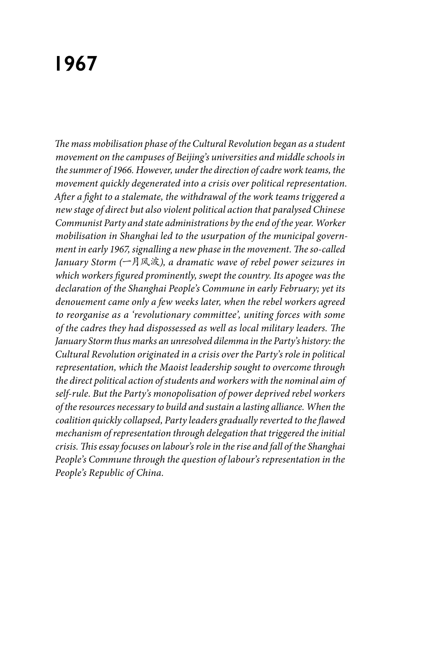# **1967**

*The mass mobilisation phase of the Cultural Revolution began as a student movement on the campuses of Beijing's universities and middle schools in the summer of 1966. However, under the direction of cadre work teams, the movement quickly degenerated into a crisis over political representation. After a fight to a stalemate, the withdrawal of the work teams triggered a new stage of direct but also violent political action that paralysed Chinese Communist Party and state administrations by the end of the year. Worker mobilisation in Shanghai led to the usurpation of the municipal government in early 1967, signalling a new phase in the movement. The so-called January Storm (*一月风波*), a dramatic wave of rebel power seizures in which workers figured prominently, swept the country. Its apogee was the declaration of the Shanghai People's Commune in early February; yet its denouement came only a few weeks later, when the rebel workers agreed to reorganise as a 'revolutionary committee', uniting forces with some of the cadres they had dispossessed as well as local military leaders. The January Storm thus marks an unresolved dilemma in the Party's history: the Cultural Revolution originated in a crisis over the Party's role in political representation, which the Maoist leadership sought to overcome through the direct political action of students and workers with the nominal aim of self-rule. But the Party's monopolisation of power deprived rebel workers of the resources necessary to build and sustain a lasting alliance. When the coalition quickly collapsed, Party leaders gradually reverted to the flawed mechanism of representation through delegation that triggered the initial crisis. This essay focuses on labour's role in the rise and fall of the Shanghai People's Commune through the question of labour's representation in the People's Republic of China.*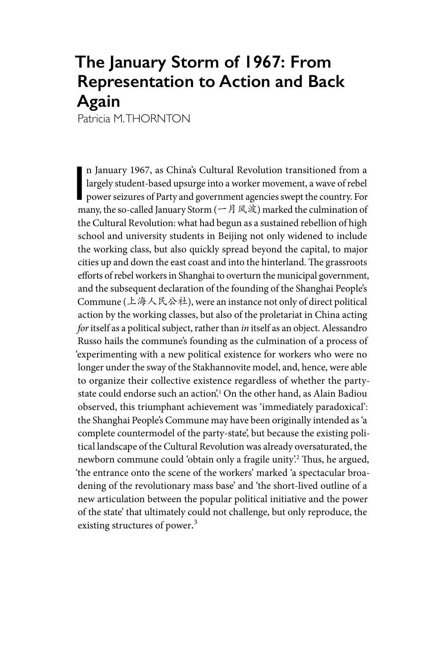# **The January Storm of 1967: From Representation to Action and Back Again**

Patricia M. THORNTON

n January 1967, as China's Cultural Revolution transitioned from a largely student-based upsurge into a worker movement, a wave of rebel power seizures of Party and government agencies swept the country. For many these ca n January 1967, as China's Cultural Revolution transitioned from a largely student-based upsurge into a worker movement, a wave of rebel many, the so-called January Storm (一月风波) marked the culmination of the Cultural Revolution: what had begun as a sustained rebellion of high school and university students in Beijing not only widened to include the working class, but also quickly spread beyond the capital, to major cities up and down the east coast and into the hinterland. The grassroots efforts of rebel workers in Shanghai to overturn the municipal government, and the subsequent declaration of the founding of the Shanghai People's Commune (上海人民公社), were an instance not only of direct political action by the working classes, but also of the proletariat in China acting *for* itself as a political subject, rather than *in* itself as an object. Alessandro Russo hails the commune's founding as the culmination of a process of 'experimenting with a new political existence for workers who were no longer under the sway of the Stakhannovite model, and, hence, were able to organize their collective existence regardless of whether the partystate could endorse such an action'.1 On the other hand, as Alain Badiou observed, this triumphant achievement was 'immediately paradoxical': the Shanghai People's Commune may have been originally intended as 'a complete countermodel of the party-state', but because the existing political landscape of the Cultural Revolution was already oversaturated, the newborn commune could 'obtain only a fragile unity'.2 Thus, he argued, 'the entrance onto the scene of the workers' marked 'a spectacular broadening of the revolutionary mass base' and 'the short-lived outline of a new articulation between the popular political initiative and the power of the state' that ultimately could not challenge, but only reproduce, the existing structures of power.<sup>3</sup>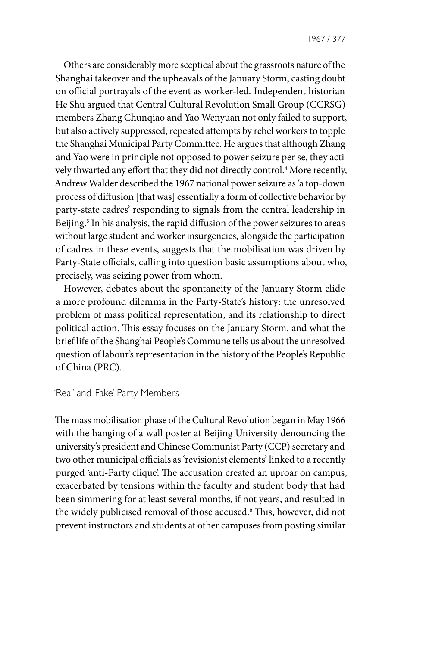Others are considerably more sceptical about the grassroots nature of the Shanghai takeover and the upheavals of the January Storm, casting doubt on official portrayals of the event as worker-led. Independent historian He Shu argued that Central Cultural Revolution Small Group (CCRSG) members Zhang Chunqiao and Yao Wenyuan not only failed to support, but also actively suppressed, repeated attempts by rebel workers to topple the Shanghai Municipal Party Committee. He argues that although Zhang and Yao were in principle not opposed to power seizure per se, they actively thwarted any effort that they did not directly control.4 More recently, Andrew Walder described the 1967 national power seizure as 'a top-down process of diffusion [that was] essentially a form of collective behavior by party-state cadres' responding to signals from the central leadership in Beijing.<sup>5</sup> In his analysis, the rapid diffusion of the power seizures to areas without large student and worker insurgencies, alongside the participation of cadres in these events, suggests that the mobilisation was driven by Party-State officials, calling into question basic assumptions about who, precisely, was seizing power from whom.

However, debates about the spontaneity of the January Storm elide a more profound dilemma in the Party-State's history: the unresolved problem of mass political representation, and its relationship to direct political action. This essay focuses on the January Storm, and what the brief life of the Shanghai People's Commune tells us about the unresolved question of labour's representation in the history of the People's Republic of China (PRC).

'Real' and 'Fake' Party Members

The mass mobilisation phase of the Cultural Revolution began in May 1966 with the hanging of a wall poster at Beijing University denouncing the university's president and Chinese Communist Party (CCP) secretary and two other municipal officials as 'revisionist elements' linked to a recently purged 'anti-Party clique'. The accusation created an uproar on campus, exacerbated by tensions within the faculty and student body that had been simmering for at least several months, if not years, and resulted in the widely publicised removal of those accused.6 This, however, did not prevent instructors and students at other campuses from posting similar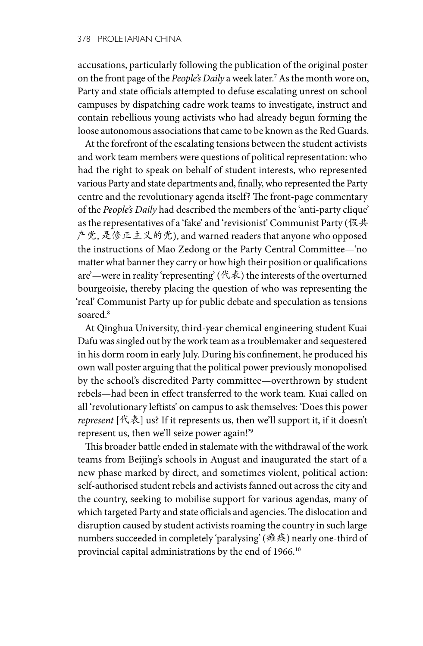accusations, particularly following the publication of the original poster on the front page of the *People's Daily* a week later.7 As the month wore on, Party and state officials attempted to defuse escalating unrest on school campuses by dispatching cadre work teams to investigate, instruct and contain rebellious young activists who had already begun forming the loose autonomous associations that came to be known as the Red Guards.

At the forefront of the escalating tensions between the student activists and work team members were questions of political representation: who had the right to speak on behalf of student interests, who represented various Party and state departments and, finally, who represented the Party centre and the revolutionary agenda itself? The front-page commentary of the *People's Daily* had described the members of the 'anti-party clique' as the representatives of a 'fake' and 'revisionist' Communist Party (假共 产党, 是修正主义的党), and warned readers that anyone who opposed the instructions of Mao Zedong or the Party Central Committee—'no matter what banner they carry or how high their position or qualifications are'—were in reality 'representing' (代表) the interests of the overturned bourgeoisie, thereby placing the question of who was representing the 'real' Communist Party up for public debate and speculation as tensions soared.8

At Qinghua University, third-year chemical engineering student Kuai Dafu was singled out by the work team as a troublemaker and sequestered in his dorm room in early July. During his confinement, he produced his own wall poster arguing that the political power previously monopolised by the school's discredited Party committee—overthrown by student rebels—had been in effect transferred to the work team. Kuai called on all 'revolutionary leftists' on campus to ask themselves: 'Does this power *represent* [代表] us? If it represents us, then we'll support it, if it doesn't represent us, then we'll seize power again!'9

This broader battle ended in stalemate with the withdrawal of the work teams from Beijing's schools in August and inaugurated the start of a new phase marked by direct, and sometimes violent, political action: self-authorised student rebels and activists fanned out across the city and the country, seeking to mobilise support for various agendas, many of which targeted Party and state officials and agencies. The dislocation and disruption caused by student activists roaming the country in such large numbers succeeded in completely 'paralysing' (瘫痪) nearly one-third of provincial capital administrations by the end of 1966.<sup>10</sup>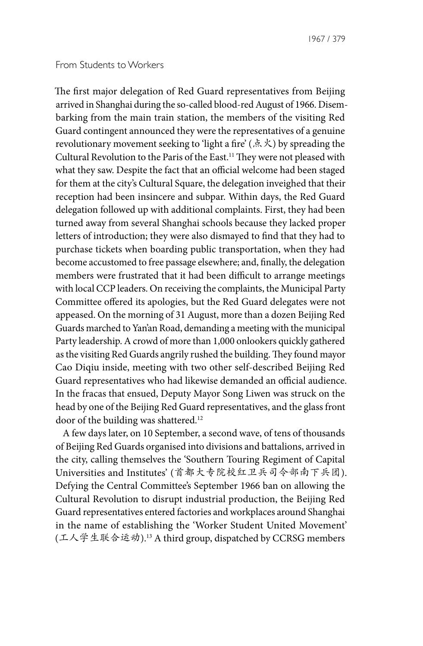## From Students to Workers

The first major delegation of Red Guard representatives from Beijing arrived in Shanghai during the so-called blood-red August of 1966. Disembarking from the main train station, the members of the visiting Red Guard contingent announced they were the representatives of a genuine revolutionary movement seeking to 'light a fire' (点火) by spreading the Cultural Revolution to the Paris of the East.11 They were not pleased with what they saw. Despite the fact that an official welcome had been staged for them at the city's Cultural Square, the delegation inveighed that their reception had been insincere and subpar. Within days, the Red Guard delegation followed up with additional complaints. First, they had been turned away from several Shanghai schools because they lacked proper letters of introduction; they were also dismayed to find that they had to purchase tickets when boarding public transportation, when they had become accustomed to free passage elsewhere; and, finally, the delegation members were frustrated that it had been difficult to arrange meetings with local CCP leaders. On receiving the complaints, the Municipal Party Committee offered its apologies, but the Red Guard delegates were not appeased. On the morning of 31 August, more than a dozen Beijing Red Guards marched to Yan'an Road, demanding a meeting with the municipal Party leadership. A crowd of more than 1,000 onlookers quickly gathered as the visiting Red Guards angrily rushed the building. They found mayor Cao Diqiu inside, meeting with two other self-described Beijing Red Guard representatives who had likewise demanded an official audience. In the fracas that ensued, Deputy Mayor Song Liwen was struck on the head by one of the Beijing Red Guard representatives, and the glass front door of the building was shattered.<sup>12</sup>

A few days later, on 10 September, a second wave, of tens of thousands of Beijing Red Guards organised into divisions and battalions, arrived in the city, calling themselves the 'Southern Touring Regiment of Capital Universities and Institutes' (首都大专院校红卫兵司令部南下兵团). Defying the Central Committee's September 1966 ban on allowing the Cultural Revolution to disrupt industrial production, the Beijing Red Guard representatives entered factories and workplaces around Shanghai in the name of establishing the 'Worker Student United Movement' (工人学生联合运动).13 A third group, dispatched by CCRSG members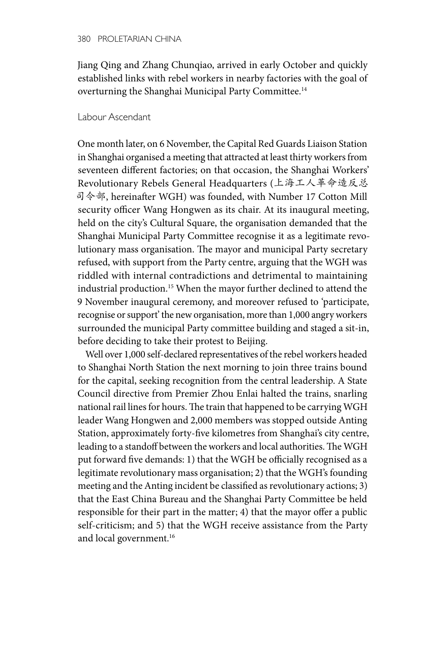Jiang Qing and Zhang Chunqiao, arrived in early October and quickly established links with rebel workers in nearby factories with the goal of overturning the Shanghai Municipal Party Committee.14

#### Labour Ascendant

One month later, on 6 November, the Capital Red Guards Liaison Station in Shanghai organised a meeting that attracted at least thirty workers from seventeen different factories; on that occasion, the Shanghai Workers' Revolutionary Rebels General Headquarters (上海工人革命造反总 司令部, hereinafter WGH) was founded, with Number 17 Cotton Mill security officer Wang Hongwen as its chair. At its inaugural meeting, held on the city's Cultural Square, the organisation demanded that the Shanghai Municipal Party Committee recognise it as a legitimate revolutionary mass organisation. The mayor and municipal Party secretary refused, with support from the Party centre, arguing that the WGH was riddled with internal contradictions and detrimental to maintaining industrial production.15 When the mayor further declined to attend the 9 November inaugural ceremony, and moreover refused to 'participate, recognise or support' the new organisation, more than 1,000 angry workers surrounded the municipal Party committee building and staged a sit-in, before deciding to take their protest to Beijing.

Well over 1,000 self-declared representatives of the rebel workers headed to Shanghai North Station the next morning to join three trains bound for the capital, seeking recognition from the central leadership. A State Council directive from Premier Zhou Enlai halted the trains, snarling national rail lines for hours. The train that happened to be carrying WGH leader Wang Hongwen and 2,000 members was stopped outside Anting Station, approximately forty-five kilometres from Shanghai's city centre, leading to a standoff between the workers and local authorities. The WGH put forward five demands: 1) that the WGH be officially recognised as a legitimate revolutionary mass organisation; 2) that the WGH's founding meeting and the Anting incident be classified as revolutionary actions; 3) that the East China Bureau and the Shanghai Party Committee be held responsible for their part in the matter; 4) that the mayor offer a public self-criticism; and 5) that the WGH receive assistance from the Party and local government.<sup>16</sup>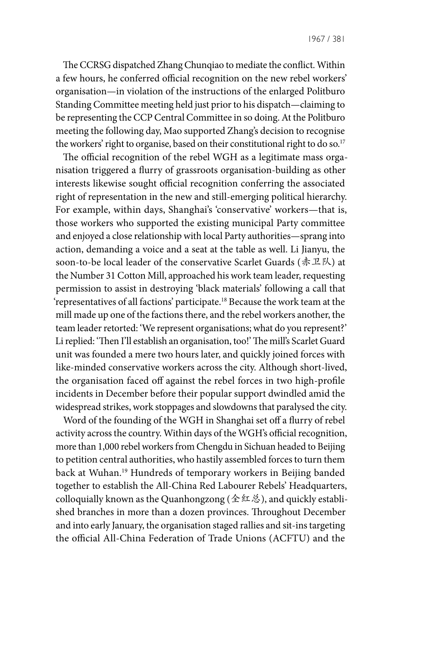The CCRSG dispatched Zhang Chunqiao to mediate the conflict. Within a few hours, he conferred official recognition on the new rebel workers' organisation—in violation of the instructions of the enlarged Politburo Standing Committee meeting held just prior to his dispatch—claiming to be representing the CCP Central Committee in so doing. At the Politburo meeting the following day, Mao supported Zhang's decision to recognise the workers' right to organise, based on their constitutional right to do so.<sup>17</sup>

The official recognition of the rebel WGH as a legitimate mass organisation triggered a flurry of grassroots organisation-building as other interests likewise sought official recognition conferring the associated right of representation in the new and still-emerging political hierarchy. For example, within days, Shanghai's 'conservative' workers—that is, those workers who supported the existing municipal Party committee and enjoyed a close relationship with local Party authorities—sprang into action, demanding a voice and a seat at the table as well. Li Jianyu, the soon-to-be local leader of the conservative Scarlet Guards ( $\# \mathcal{I} \mathbb{K}$ ) at the Number 31 Cotton Mill, approached his work team leader, requesting permission to assist in destroying 'black materials' following a call that 'representatives of all factions' participate.18 Because the work team at the mill made up one of the factions there, and the rebel workers another, the team leader retorted: 'We represent organisations; what do you represent?' Li replied: 'Then I'll establish an organisation, too!' The mill's Scarlet Guard unit was founded a mere two hours later, and quickly joined forces with like-minded conservative workers across the city. Although short-lived, the organisation faced off against the rebel forces in two high-profile incidents in December before their popular support dwindled amid the widespread strikes, work stoppages and slowdowns that paralysed the city.

Word of the founding of the WGH in Shanghai set off a flurry of rebel activity across the country. Within days of the WGH's official recognition, more than 1,000 rebel workers from Chengdu in Sichuan headed to Beijing to petition central authorities, who hastily assembled forces to turn them back at Wuhan.19 Hundreds of temporary workers in Beijing banded together to establish the All-China Red Labourer Rebels' Headquarters, colloquially known as the Quanhongzong (全红总), and quickly established branches in more than a dozen provinces. Throughout December and into early January, the organisation staged rallies and sit-ins targeting the official All-China Federation of Trade Unions (ACFTU) and the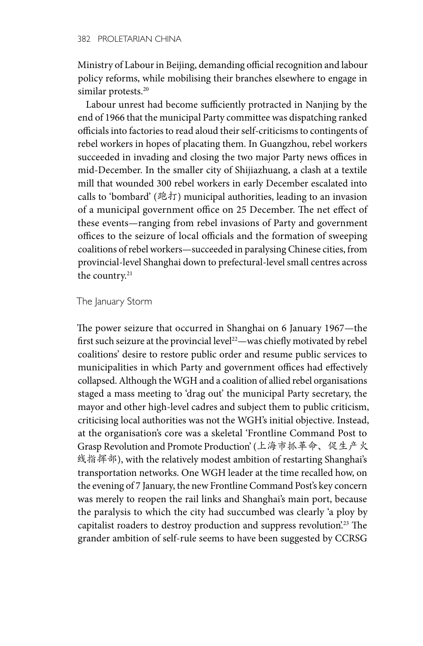Ministry of Labour in Beijing, demanding official recognition and labour policy reforms, while mobilising their branches elsewhere to engage in similar protests.<sup>20</sup>

Labour unrest had become sufficiently protracted in Nanjing by the end of 1966 that the municipal Party committee was dispatching ranked officials into factories to read aloud their self-criticisms to contingents of rebel workers in hopes of placating them. In Guangzhou, rebel workers succeeded in invading and closing the two major Party news offices in mid-December. In the smaller city of Shijiazhuang, a clash at a textile mill that wounded 300 rebel workers in early December escalated into calls to 'bombard' (跑打) municipal authorities, leading to an invasion of a municipal government office on 25 December. The net effect of these events—ranging from rebel invasions of Party and government offices to the seizure of local officials and the formation of sweeping coalitions of rebel workers—succeeded in paralysing Chinese cities, from provincial-level Shanghai down to prefectural-level small centres across the country.<sup>21</sup>

The January Storm

The power seizure that occurred in Shanghai on 6 January 1967—the first such seizure at the provincial level<sup>22</sup>—was chiefly motivated by rebel coalitions' desire to restore public order and resume public services to municipalities in which Party and government offices had effectively collapsed. Although the WGH and a coalition of allied rebel organisations staged a mass meeting to 'drag out' the municipal Party secretary, the mayor and other high-level cadres and subject them to public criticism, criticising local authorities was not the WGH's initial objective. Instead, at the organisation's core was a skeletal 'Frontline Command Post to Grasp Revolution and Promote Production' (上海市抓革命、促生产火 线指挥部), with the relatively modest ambition of restarting Shanghai's transportation networks. One WGH leader at the time recalled how, on the evening of 7 January, the new Frontline Command Post's key concern was merely to reopen the rail links and Shanghai's main port, because the paralysis to which the city had succumbed was clearly 'a ploy by capitalist roaders to destroy production and suppress revolution.<sup>23</sup> The grander ambition of self-rule seems to have been suggested by CCRSG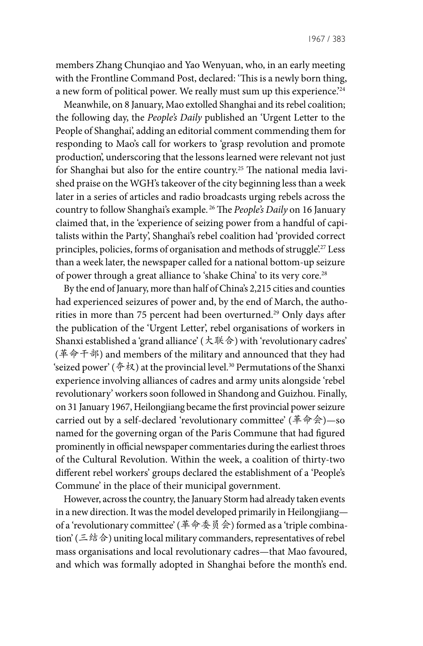members Zhang Chunqiao and Yao Wenyuan, who, in an early meeting with the Frontline Command Post, declared: 'This is a newly born thing, a new form of political power. We really must sum up this experience.<sup>224</sup>

Meanwhile, on 8 January, Mao extolled Shanghai and its rebel coalition; the following day, the *People's Daily* published an 'Urgent Letter to the People of Shanghai', adding an editorial comment commending them for responding to Mao's call for workers to 'grasp revolution and promote production', underscoring that the lessons learned were relevant not just for Shanghai but also for the entire country.25 The national media lavished praise on the WGH's takeover of the city beginning less than a week later in a series of articles and radio broadcasts urging rebels across the country to follow Shanghai's example. 26 The *People's Daily* on 16 January claimed that, in the 'experience of seizing power from a handful of capitalists within the Party', Shanghai's rebel coalition had 'provided correct principles, policies, forms of organisation and methods of struggle.<sup>27</sup> Less than a week later, the newspaper called for a national bottom-up seizure of power through a great alliance to 'shake China' to its very core.<sup>28</sup>

By the end of January, more than half of China's 2,215 cities and counties had experienced seizures of power and, by the end of March, the authorities in more than 75 percent had been overturned.<sup>29</sup> Only days after the publication of the 'Urgent Letter', rebel organisations of workers in Shanxi established a 'grand alliance' (大联合) with 'revolutionary cadres' (革命干部) and members of the military and announced that they had 'seized power' ( $\hat{\phi}$ 权) at the provincial level.<sup>30</sup> Permutations of the Shanxi experience involving alliances of cadres and army units alongside 'rebel revolutionary' workers soon followed in Shandong and Guizhou. Finally, on 31 January 1967, Heilongjiang became the first provincial power seizure carried out by a self-declared 'revolutionary committee' (革命会)—so named for the governing organ of the Paris Commune that had figured prominently in official newspaper commentaries during the earliest throes of the Cultural Revolution. Within the week, a coalition of thirty-two different rebel workers' groups declared the establishment of a 'People's Commune' in the place of their municipal government.

However, across the country, the January Storm had already taken events in a new direction. It was the model developed primarily in Heilongjiang of a 'revolutionary committee' (革命委员会) formed as a 'triple combination' (三结合) uniting local military commanders, representatives of rebel mass organisations and local revolutionary cadres—that Mao favoured, and which was formally adopted in Shanghai before the month's end.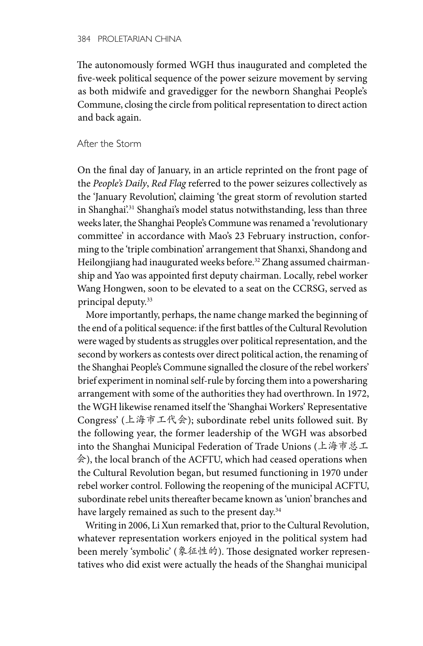The autonomously formed WGH thus inaugurated and completed the five-week political sequence of the power seizure movement by serving as both midwife and gravedigger for the newborn Shanghai People's Commune, closing the circle from political representation to direct action and back again.

### After the Storm

On the final day of January, in an article reprinted on the front page of the *People's Daily*, *Red Flag* referred to the power seizures collectively as the 'January Revolution', claiming 'the great storm of revolution started in Shanghai'.<sup>31</sup> Shanghai's model status notwithstanding, less than three weeks later, the Shanghai People's Commune was renamed a 'revolutionary committee' in accordance with Mao's 23 February instruction, conforming to the 'triple combination' arrangement that Shanxi, Shandong and Heilongjiang had inaugurated weeks before.<sup>32</sup> Zhang assumed chairmanship and Yao was appointed first deputy chairman. Locally, rebel worker Wang Hongwen, soon to be elevated to a seat on the CCRSG, served as principal deputy.33

More importantly, perhaps, the name change marked the beginning of the end of a political sequence: if the first battles of the Cultural Revolution were waged by students as struggles over political representation, and the second by workers as contests over direct political action, the renaming of the Shanghai People's Commune signalled the closure of the rebel workers' brief experiment in nominal self-rule by forcing them into a powersharing arrangement with some of the authorities they had overthrown. In 1972, the WGH likewise renamed itself the 'Shanghai Workers' Representative Congress' (上海市工代会); subordinate rebel units followed suit. By the following year, the former leadership of the WGH was absorbed into the Shanghai Municipal Federation of Trade Unions (上海市总工 会), the local branch of the ACFTU, which had ceased operations when the Cultural Revolution began, but resumed functioning in 1970 under rebel worker control. Following the reopening of the municipal ACFTU, subordinate rebel units thereafter became known as 'union' branches and have largely remained as such to the present day.<sup>34</sup>

Writing in 2006, Li Xun remarked that, prior to the Cultural Revolution, whatever representation workers enjoyed in the political system had been merely 'symbolic' (象征性的). Those designated worker representatives who did exist were actually the heads of the Shanghai municipal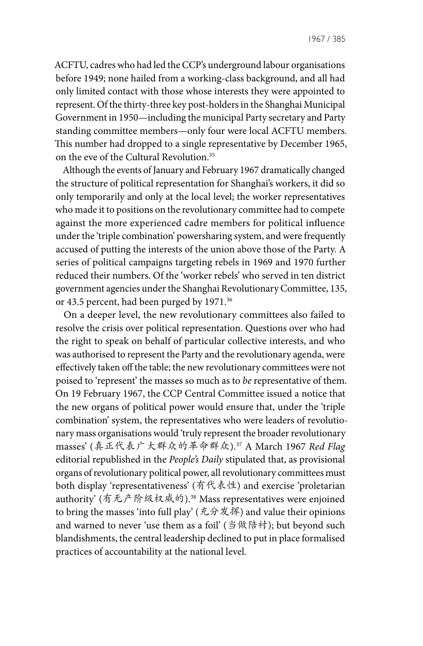ACFTU, cadres who had led the CCP's underground labour organisations before 1949; none hailed from a working-class background, and all had only limited contact with those whose interests they were appointed to represent. Of the thirty-three key post-holders in the Shanghai Municipal Government in 1950—including the municipal Party secretary and Party standing committee members—only four were local ACFTU members. This number had dropped to a single representative by December 1965, on the eve of the Cultural Revolution.<sup>35</sup>

Although the events of January and February 1967 dramatically changed the structure of political representation for Shanghai's workers, it did so only temporarily and only at the local level; the worker representatives who made it to positions on the revolutionary committee had to compete against the more experienced cadre members for political influence under the 'triple combination' powersharing system, and were frequently accused of putting the interests of the union above those of the Party. A series of political campaigns targeting rebels in 1969 and 1970 further reduced their numbers. Of the 'worker rebels' who served in ten district government agencies under the Shanghai Revolutionary Committee, 135, or 43.5 percent, had been purged by 1971.<sup>36</sup>

On a deeper level, the new revolutionary committees also failed to resolve the crisis over political representation. Questions over who had the right to speak on behalf of particular collective interests, and who was authorised to represent the Party and the revolutionary agenda, were effectively taken off the table; the new revolutionary committees were not poised to 'represent' the masses so much as to *be* representative of them. On 19 February 1967, the CCP Central Committee issued a notice that the new organs of political power would ensure that, under the 'triple combination' system, the representatives who were leaders of revolutionary mass organisations would 'truly represent the broader revolutionary masses' (真正代表广大群众的革命群众). 37 A March 1967 *Red Flag* editorial republished in the *People's Daily* stipulated that, as provisional organs of revolutionary political power, all revolutionary committees must both display 'representativeness' (有代表性) and exercise 'proletarian authority' (有无产阶级权威的).38 Mass representatives were enjoined to bring the masses 'into full play' (充分发挥) and value their opinions and warned to never 'use them as a foil' (当做陪衬); but beyond such blandishments, the central leadership declined to put in place formalised practices of accountability at the national level.